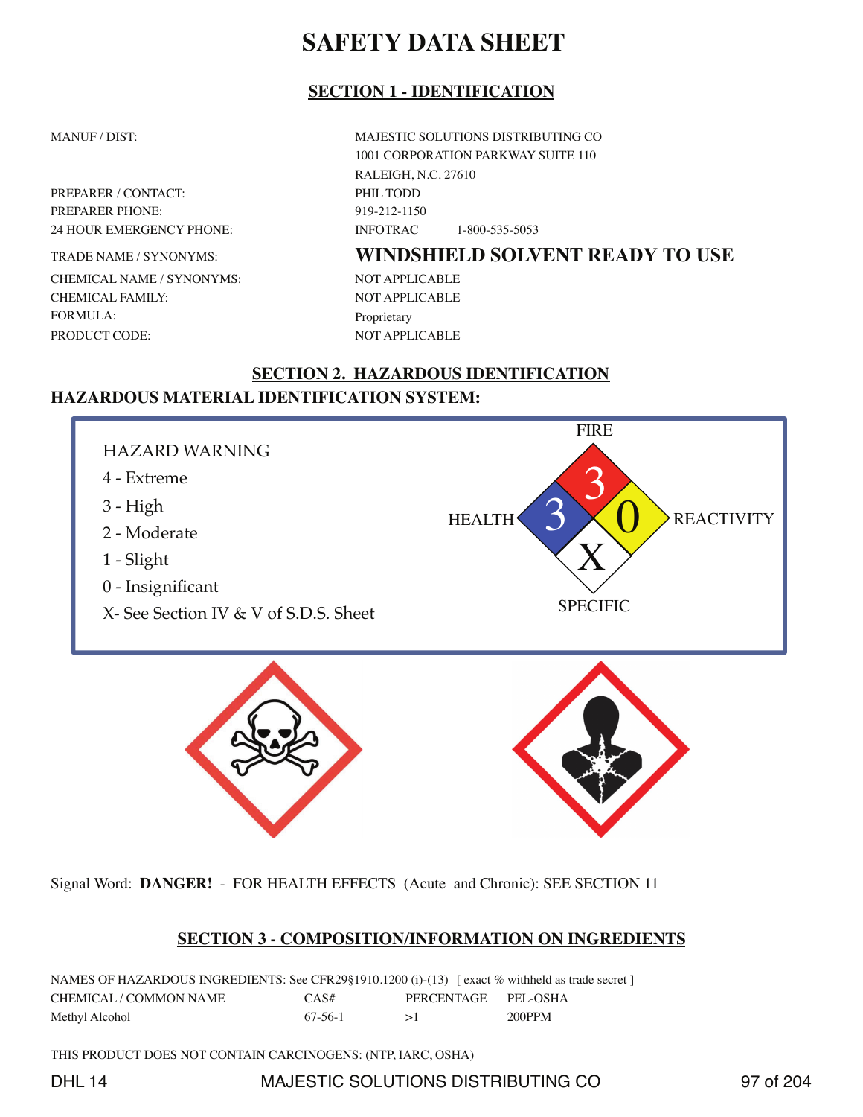## **SECTION 1 - IDENTIFICATION**

PREPARER / CONTACT: PHIL TODD PREPARER PHONE: 919-212-1150

TRADE NAME / SYNONYMS: CHEMICAL NAME / SYNONYMS: CHEMICAL FAMILY: FORMULA: PRODUCT CODE:

MANUF / DIST: MAJESTIC SOLUTIONS DISTRIBUTING CO 1001 CORPORATION PARKWAY SUITE 110 RALEIGH, N.C. 27610 24 HOUR EMERGENCY PHONE: INFOTRAC 1-800-535-5053

# **WINDSHIELD SOLVENT READY TO USE**

NOT APPLICABLE NOT APPLICABLE Proprietary NOT APPLICABLE

## **SECTION 2. HAZARDOUS IDENTIFICATION HAZARDOUS MATERIAL IDENTIFICATION SYSTEM:**



Signal Word: **DANGER!** - FOR HEALTH EFFECTS (Acute and Chronic): SEE SECTION 11

## **SECTION 3 - COMPOSITION/INFORMATION ON INGREDIENTS**

NAMES OF HAZARDOUS INGREDIENTS: See CFR29§1910.1200 (i)-(13) [ exact % withheld as trade secret ] CHEMICAL / COMMON NAME CAS# PERCENTAGE PEL-OSHA Methyl Alcohol  $67-56-1$   $>1$  200PPM

THIS PRODUCT DOES NOT CONTAIN CARCINOGENS: (NTP, IARC, OSHA)

DHL 14 MAJESTIC SOLUTIONS DISTRIBUTING CO 37 of 204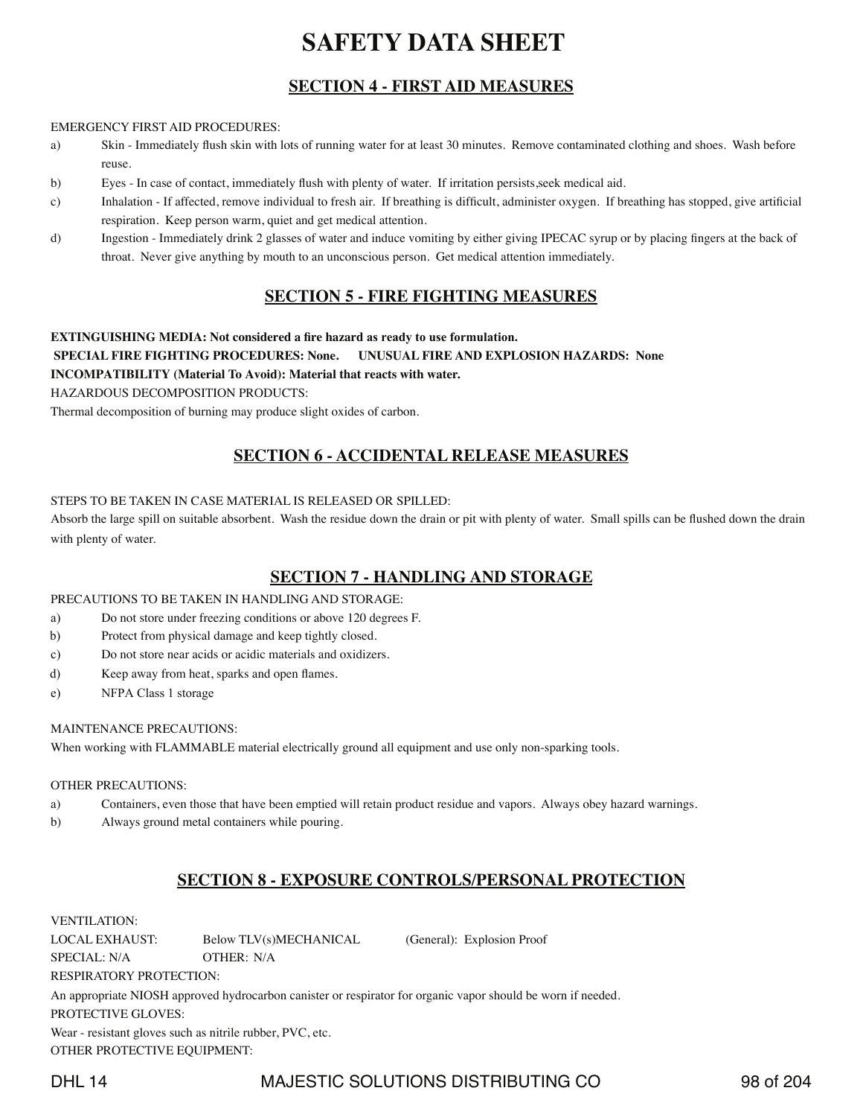## **SECTION 4 - FIRST AID MEASURES**

#### EMERGENCY FIRST AID PROCEDURES:

- a) Skin Immediately flush skin with lots of running water for at least 30 minutes. Remove contaminated clothing and shoes. Wash before reuse.
- b) Eyes In case of contact, immediately flush with plenty of water. If irritation persists,seek medical aid.
- c) Inhalation If affected, remove individual to fresh air. If breathing is difficult, administer oxygen. If breathing has stopped, give artificial respiration. Keep person warm, quiet and get medical attention.
- d) Ingestion Immediately drink 2 glasses of water and induce vomiting by either giving IPECAC syrup or by placing fingers at the back of throat. Never give anything by mouth to an unconscious person. Get medical attention immediately.

## **SECTION 5 - FIRE FIGHTING MEASURES**

### **EXTINGUISHING MEDIA: Not considered a fire hazard as ready to use formulation.**

### **SPECIAL FIRE FIGHTING PROCEDURES: None. UNUSUAL FIRE AND EXPLOSION HAZARDS: None**

### **INCOMPATIBILITY (Material To Avoid): Material that reacts with water.**

HAZARDOUS DECOMPOSITION PRODUCTS:

Thermal decomposition of burning may produce slight oxides of carbon.

## **SECTION 6 - ACCIDENTAL RELEASE MEASURES**

### STEPS TO BE TAKEN IN CASE MATERIAL IS RELEASED OR SPILLED:

Absorb the large spill on suitable absorbent. Wash the residue down the drain or pit with plenty of water. Small spills can be flushed down the drain with plenty of water.

## **SECTION 7 - HANDLING AND STORAGE**

### PRECAUTIONS TO BE TAKEN IN HANDLING AND STORAGE:

- a) Do not store under freezing conditions or above 120 degrees F.
- b) Protect from physical damage and keep tightly closed.
- c) Do not store near acids or acidic materials and oxidizers.
- d) Keep away from heat, sparks and open flames.
- e) NFPA Class 1 storage

### MAINTENANCE PRECAUTIONS:

When working with FLAMMABLE material electrically ground all equipment and use only non-sparking tools.

#### OTHER PRECAUTIONS:

- a) Containers, even those that have been emptied will retain product residue and vapors. Always obey hazard warnings.
- b) Always ground metal containers while pouring.

## **SECTION 8 - EXPOSURE CONTROLS/PERSONAL PROTECTION**

### VENTILATION: LOCAL EXHAUST: Below TLV(s)MECHANICAL (General): Explosion Proof SPECIAL: N/A OTHER: N/A RESPIRATORY PROTECTION: An appropriate NIOSH approved hydrocarbon canister or respirator for organic vapor should be worn if needed. PROTECTIVE GLOVES: Wear - resistant gloves such as nitrile rubber, PVC, etc. OTHER PROTECTIVE EQUIPMENT:

DHL 14 MAJESTIC SOLUTIONS DISTRIBUTING CO 98 of 204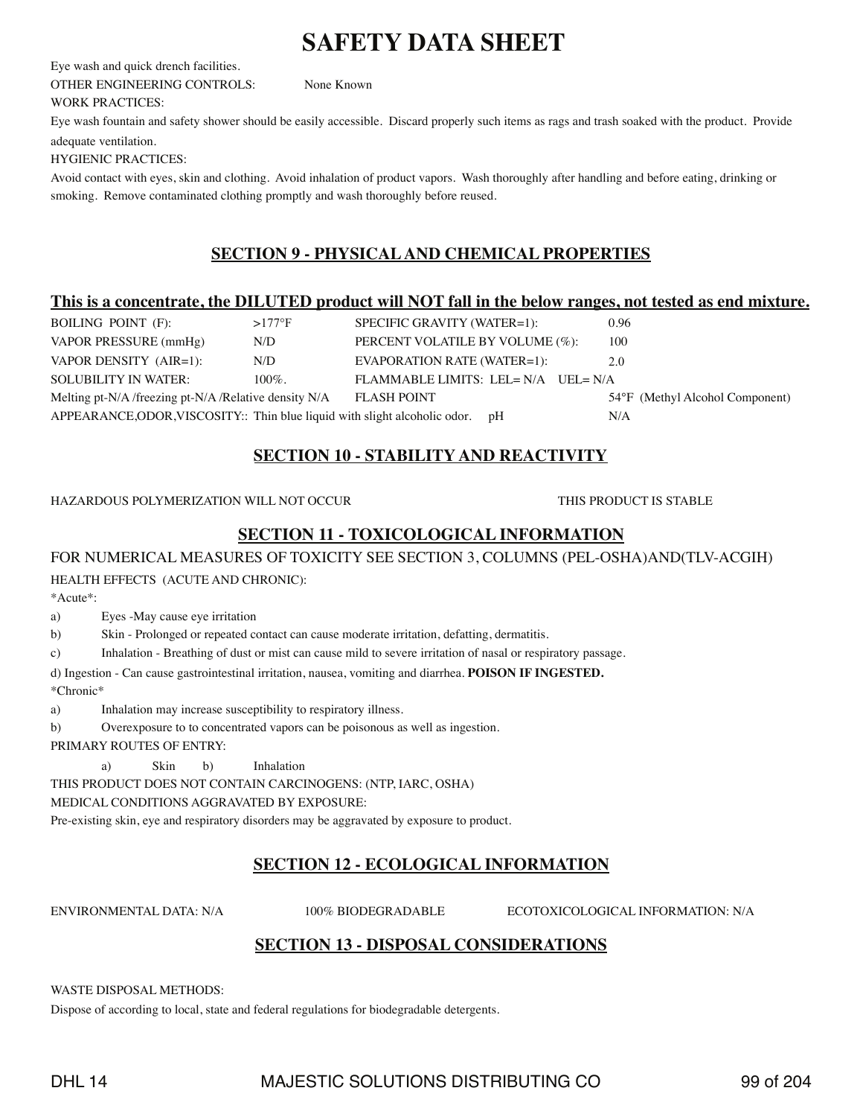Eye wash and quick drench facilities. OTHER ENGINEERING CONTROLS: None Known

WORK PRACTICES:

Eye wash fountain and safety shower should be easily accessible. Discard properly such items as rags and trash soaked with the product. Provide adequate ventilation.

HYGIENIC PRACTICES:

Avoid contact with eyes, skin and clothing. Avoid inhalation of product vapors. Wash thoroughly after handling and before eating, drinking or smoking. Remove contaminated clothing promptly and wash thoroughly before reused.

## **SECTION 9 - PHYSICAL AND CHEMICAL PROPERTIES**

### **This is a concentrate, the DILUTED product will NOT fall in the below ranges, not tested as end mixture.**

| BOILING POINT (F):                                                            | $>177$ °F | SPECIFIC GRAVITY (WATER=1):         | 0.96                            |
|-------------------------------------------------------------------------------|-----------|-------------------------------------|---------------------------------|
| VAPOR PRESSURE (mmHg)                                                         | N/D       | PERCENT VOLATILE BY VOLUME (%):     | 100                             |
| VAPOR DENSITY (AIR=1):                                                        | N/D       | EVAPORATION RATE (WATER=1):         | 2.0                             |
| <b>SOLUBILITY IN WATER:</b>                                                   | $100\%$ . | FLAMMABLE LIMITS: LEL= N/A UEL= N/A |                                 |
| Melting pt-N/A /freezing pt-N/A /Relative density N/A                         |           | <b>FLASH POINT</b>                  | 54°F (Methyl Alcohol Component) |
| APPEARANCE, ODOR, VISCOSITY:: Thin blue liquid with slight alcoholic odor. pH |           |                                     | N/A                             |

## **SECTION 10 - STABILITY AND REACTIVITY**

### HAZARDOUS POLYMERIZATION WILL NOT OCCUR THIS PRODUCT IS STABLE

## **SECTION 11 - TOXICOLOGICAL INFORMATION**

### FOR NUMERICAL MEASURES OF TOXICITY SEE SECTION 3, COLUMNS (PEL-OSHA)AND(TLV-ACGIH)

### HEALTH EFFECTS (ACUTE AND CHRONIC):

\*Acute\*:

### a) Eyes -May cause eye irritation

b) Skin - Prolonged or repeated contact can cause moderate irritation, defatting, dermatitis.

c) Inhalation - Breathing of dust or mist can cause mild to severe irritation of nasal or respiratory passage.

d) Ingestion - Can cause gastrointestinal irritation, nausea, vomiting and diarrhea. **POISON IF INGESTED.**

\*Chronic\*

a) Inhalation may increase susceptibility to respiratory illness.

b) Overexposure to to concentrated vapors can be poisonous as well as ingestion.

PRIMARY ROUTES OF ENTRY:

a) Skin b) Inhalation

THIS PRODUCT DOES NOT CONTAIN CARCINOGENS: (NTP, IARC, OSHA)

MEDICAL CONDITIONS AGGRAVATED BY EXPOSURE:

Pre-existing skin, eye and respiratory disorders may be aggravated by exposure to product.

# **SECTION 12 - ECOLOGICAL INFORMATION**

ENVIRONMENTAL DATA: N/A 100% BIODEGRADABLE ECOTOXICOLOGICAL INFORMATION: N/A

# **SECTION 13 - DISPOSAL CONSIDERATIONS**

WASTE DISPOSAL METHODS:

Dispose of according to local, state and federal regulations for biodegradable detergents.

# DHL 14 MAJESTIC SOLUTIONS DISTRIBUTING CO 39 of 204